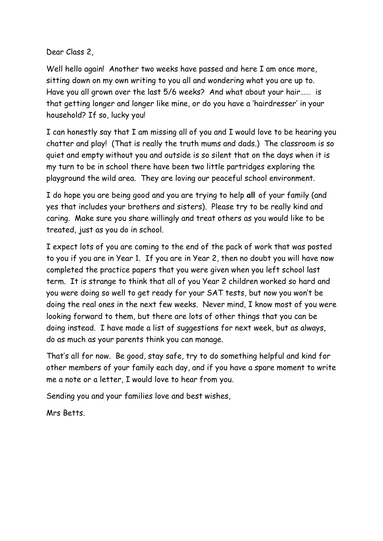Dear Class 2,

Well hello again! Another two weeks have passed and here I am once more, sitting down on my own writing to you all and wondering what you are up to. Have you all grown over the last 5/6 weeks? And what about your hair…… is that getting longer and longer like mine, or do you have a 'hairdresser' in your household? If so, lucky you!

I can honestly say that I am missing all of you and I would love to be hearing you chatter and play! (That is really the truth mums and dads.) The classroom is so quiet and empty without you and outside is so silent that on the days when it is my turn to be in school there have been two little partridges exploring the playground the wild area. They are loving our peaceful school environment.

I do hope you are being good and you are trying to help **all** of your family (and yes that includes your brothers and sisters). Please try to be really kind and caring. Make sure you share willingly and treat others as you would like to be treated, just as you do in school.

I expect lots of you are coming to the end of the pack of work that was posted to you if you are in Year 1. If you are in Year 2, then no doubt you will have now completed the practice papers that you were given when you left school last term. It is strange to think that all of you Year 2 children worked so hard and you were doing so well to get ready for your SAT tests, but now you won't be doing the real ones in the next few weeks. Never mind, I know most of you were looking forward to them, but there are lots of other things that you can be doing instead. I have made a list of suggestions for next week, but as always, do as much as your parents think you can manage.

That's all for now. Be good, stay safe, try to do something helpful and kind for other members of your family each day, and if you have a spare moment to write me a note or a letter, I would love to hear from you.

Sending you and your families love and best wishes,

Mrs Betts.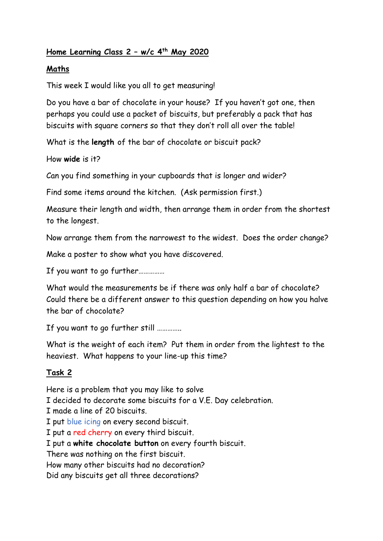## **Home Learning Class 2 – w/c 4th May 2020**

#### **Maths**

This week I would like you all to get measuring!

Do you have a bar of chocolate in your house? If you haven't got one, then perhaps you could use a packet of biscuits, but preferably a pack that has biscuits with square corners so that they don't roll all over the table!

What is the **length** of the bar of chocolate or biscuit pack?

How **wide** is it?

Can you find something in your cupboards that is longer and wider?

Find some items around the kitchen. (Ask permission first.)

Measure their length and width, then arrange them in order from the shortest to the longest.

Now arrange them from the narrowest to the widest. Does the order change?

Make a poster to show what you have discovered.

If you want to go further……………

What would the measurements be if there was only half a bar of chocolate? Could there be a different answer to this question depending on how you halve the bar of chocolate?

If you want to go further still …………..

What is the weight of each item? Put them in order from the lightest to the heaviest. What happens to your line-up this time?

### **Task 2**

Here is a problem that you may like to solve I decided to decorate some biscuits for a V.E. Day celebration.

I made a line of 20 biscuits.

I put blue icing on every second biscuit.

I put a red cherry on every third biscuit.

I put a **white chocolate button** on every fourth biscuit.

There was nothing on the first biscuit.

How many other biscuits had no decoration?

Did any biscuits get all three decorations?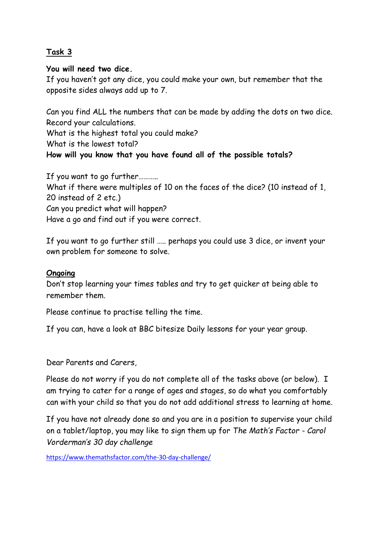### **Task 3**

#### **You will need two dice.**

If you haven't got any dice, you could make your own, but remember that the opposite sides always add up to 7.

Can you find ALL the numbers that can be made by adding the dots on two dice. Record your calculations.

What is the highest total you could make?

What is the lowest total?

# **How will you know that you have found all of the possible totals?**

If you want to go further……….. What if there were multiples of 10 on the faces of the dice? (10 instead of 1, 20 instead of 2 etc.) Can you predict what will happen? Have a go and find out if you were correct.

If you want to go further still ….. perhaps you could use 3 dice, or invent your own problem for someone to solve.

#### **Ongoing**

Don't stop learning your times tables and try to get quicker at being able to remember them.

Please continue to practise telling the time.

If you can, have a look at BBC bitesize Daily lessons for your year group.

Dear Parents and Carers,

Please do not worry if you do not complete all of the tasks above (or below). I am trying to cater for a range of ages and stages, so do what you comfortably can with your child so that you do not add additional stress to learning at home.

If you have not already done so and you are in a position to supervise your child on a tablet/laptop, you may like to sign them up for *The Math's Factor - Carol Vorderman's 30 day challenge*

<https://www.themathsfactor.com/the-30-day-challenge/>